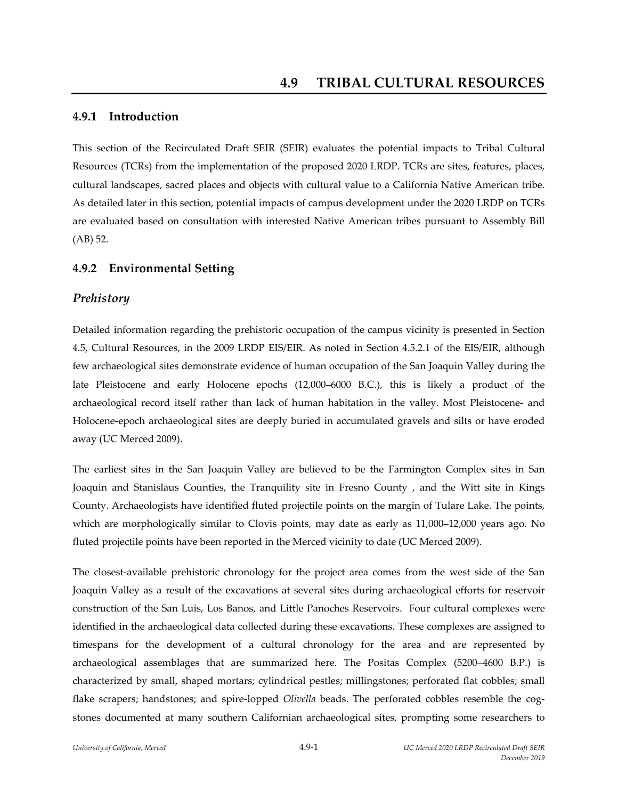### **4.9.1 Introduction**

This section of the Recirculated Draft SEIR (SEIR) evaluates the potential impacts to Tribal Cultural Resources (TCRs) from the implementation of the proposed 2020 LRDP. TCRs are sites, features, places, cultural landscapes, sacred places and objects with cultural value to a California Native American tribe. As detailed later in this section, potential impacts of campus development under the 2020 LRDP on TCRs are evaluated based on consultation with interested Native American tribes pursuant to Assembly Bill (AB) 52.

### **4.9.2 Environmental Setting**

#### *Prehistory*

Detailed information regarding the prehistoric occupation of the campus vicinity is presented in Section 4.5, Cultural Resources, in the 2009 LRDP EIS/EIR. As noted in Section 4.5.2.1 of the EIS/EIR, although few archaeological sites demonstrate evidence of human occupation of the San Joaquin Valley during the late Pleistocene and early Holocene epochs (12,000–6000 B.C.), this is likely a product of the archaeological record itself rather than lack of human habitation in the valley. Most Pleistocene‐ and Holocene‐epoch archaeological sites are deeply buried in accumulated gravels and silts or have eroded away (UC Merced 2009).

The earliest sites in the San Joaquin Valley are believed to be the Farmington Complex sites in San Joaquin and Stanislaus Counties, the Tranquility site in Fresno County , and the Witt site in Kings County. Archaeologists have identified fluted projectile points on the margin of Tulare Lake. The points, which are morphologically similar to Clovis points, may date as early as 11,000–12,000 years ago. No fluted projectile points have been reported in the Merced vicinity to date (UC Merced 2009).

The closest-available prehistoric chronology for the project area comes from the west side of the San Joaquin Valley as a result of the excavations at several sites during archaeological efforts for reservoir construction of the San Luis, Los Banos, and Little Panoches Reservoirs. Four cultural complexes were identified in the archaeological data collected during these excavations. These complexes are assigned to timespans for the development of a cultural chronology for the area and are represented by archaeological assemblages that are summarized here. The Positas Complex (5200–4600 B.P.) is characterized by small, shaped mortars; cylindrical pestles; millingstones; perforated flat cobbles; small flake scrapers; handstones; and spire-lopped *Olivella* beads. The perforated cobbles resemble the cogstones documented at many southern Californian archaeological sites, prompting some researchers to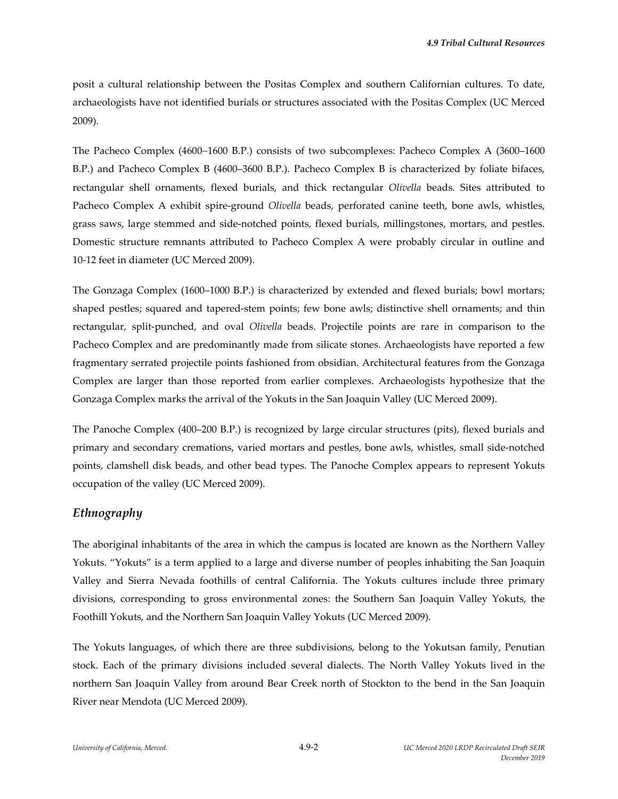posit a cultural relationship between the Positas Complex and southern Californian cultures. To date, archaeologists have not identified burials or structures associated with the Positas Complex (UC Merced 2009).

The Pacheco Complex (4600–1600 B.P.) consists of two subcomplexes: Pacheco Complex A (3600–1600 B.P.) and Pacheco Complex B (4600–3600 B.P.). Pacheco Complex B is characterized by foliate bifaces, rectangular shell ornaments, flexed burials, and thick rectangular *Olivella* beads. Sites attributed to Pacheco Complex A exhibit spire‐ground *Olivella* beads, perforated canine teeth, bone awls, whistles, grass saws, large stemmed and side‐notched points, flexed burials, millingstones, mortars, and pestles. Domestic structure remnants attributed to Pacheco Complex A were probably circular in outline and 10‐12 feet in diameter (UC Merced 2009).

The Gonzaga Complex (1600–1000 B.P.) is characterized by extended and flexed burials; bowl mortars; shaped pestles; squared and tapered‐stem points; few bone awls; distinctive shell ornaments; and thin rectangular, split‐punched, and oval *Olivella* beads. Projectile points are rare in comparison to the Pacheco Complex and are predominantly made from silicate stones. Archaeologists have reported a few fragmentary serrated projectile points fashioned from obsidian. Architectural features from the Gonzaga Complex are larger than those reported from earlier complexes. Archaeologists hypothesize that the Gonzaga Complex marks the arrival of the Yokuts in the San Joaquin Valley (UC Merced 2009).

The Panoche Complex (400–200 B.P.) is recognized by large circular structures (pits), flexed burials and primary and secondary cremations, varied mortars and pestles, bone awls, whistles, small side-notched points, clamshell disk beads, and other bead types. The Panoche Complex appears to represent Yokuts occupation of the valley (UC Merced 2009).

### *Ethnography*

The aboriginal inhabitants of the area in which the campus is located are known as the Northern Valley Yokuts. "Yokuts" is a term applied to a large and diverse number of peoples inhabiting the San Joaquin Valley and Sierra Nevada foothills of central California. The Yokuts cultures include three primary divisions, corresponding to gross environmental zones: the Southern San Joaquin Valley Yokuts, the Foothill Yokuts, and the Northern San Joaquin Valley Yokuts (UC Merced 2009).

The Yokuts languages, of which there are three subdivisions, belong to the Yokutsan family, Penutian stock. Each of the primary divisions included several dialects. The North Valley Yokuts lived in the northern San Joaquin Valley from around Bear Creek north of Stockton to the bend in the San Joaquin River near Mendota (UC Merced 2009).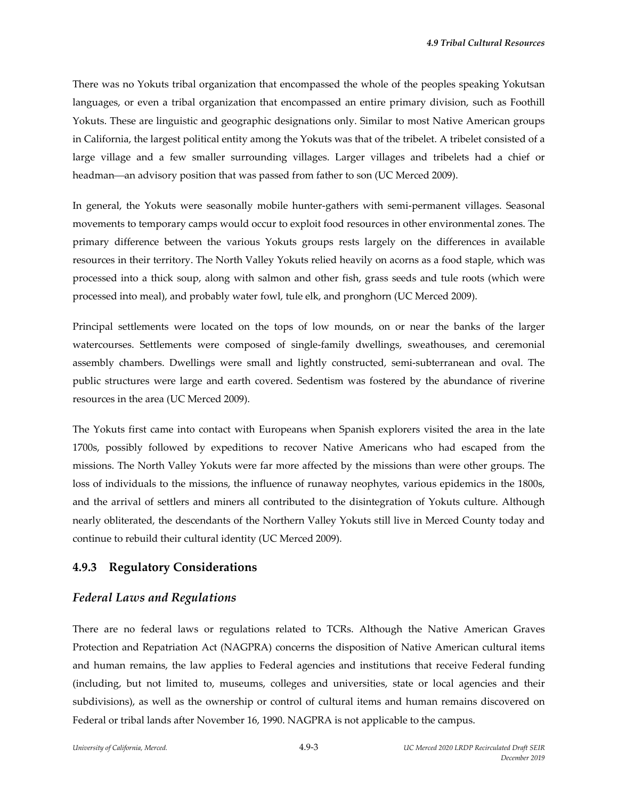There was no Yokuts tribal organization that encompassed the whole of the peoples speaking Yokutsan languages, or even a tribal organization that encompassed an entire primary division, such as Foothill Yokuts. These are linguistic and geographic designations only. Similar to most Native American groups in California, the largest political entity among the Yokuts was that of the tribelet. A tribelet consisted of a large village and a few smaller surrounding villages. Larger villages and tribelets had a chief or headman—an advisory position that was passed from father to son (UC Merced 2009).

In general, the Yokuts were seasonally mobile hunter-gathers with semi-permanent villages. Seasonal movements to temporary camps would occur to exploit food resources in other environmental zones. The primary difference between the various Yokuts groups rests largely on the differences in available resources in their territory. The North Valley Yokuts relied heavily on acorns as a food staple, which was processed into a thick soup, along with salmon and other fish, grass seeds and tule roots (which were processed into meal), and probably water fowl, tule elk, and pronghorn (UC Merced 2009).

Principal settlements were located on the tops of low mounds, on or near the banks of the larger watercourses. Settlements were composed of single-family dwellings, sweathouses, and ceremonial assembly chambers. Dwellings were small and lightly constructed, semi‐subterranean and oval. The public structures were large and earth covered. Sedentism was fostered by the abundance of riverine resources in the area (UC Merced 2009).

The Yokuts first came into contact with Europeans when Spanish explorers visited the area in the late 1700s, possibly followed by expeditions to recover Native Americans who had escaped from the missions. The North Valley Yokuts were far more affected by the missions than were other groups. The loss of individuals to the missions, the influence of runaway neophytes, various epidemics in the 1800s, and the arrival of settlers and miners all contributed to the disintegration of Yokuts culture. Although nearly obliterated, the descendants of the Northern Valley Yokuts still live in Merced County today and continue to rebuild their cultural identity (UC Merced 2009).

#### **4.9.3 Regulatory Considerations**

#### *Federal Laws and Regulations*

There are no federal laws or regulations related to TCRs. Although the Native American Graves Protection and Repatriation Act (NAGPRA) concerns the disposition of Native American cultural items and human remains, the law applies to Federal agencies and institutions that receive Federal funding (including, but not limited to, museums, colleges and universities, state or local agencies and their subdivisions), as well as the ownership or control of cultural items and human remains discovered on Federal or tribal lands after November 16, 1990. NAGPRA is not applicable to the campus.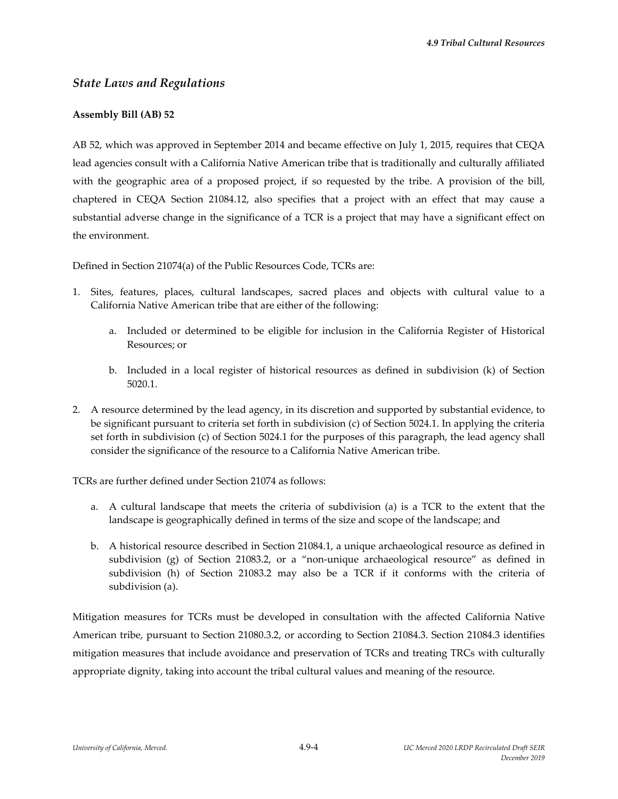### *State Laws and Regulations*

### **Assembly Bill (AB) 52**

AB 52, which was approved in September 2014 and became effective on July 1, 2015, requires that CEQA lead agencies consult with a California Native American tribe that is traditionally and culturally affiliated with the geographic area of a proposed project, if so requested by the tribe. A provision of the bill, chaptered in CEQA Section 21084.12, also specifies that a project with an effect that may cause a substantial adverse change in the significance of a TCR is a project that may have a significant effect on the environment.

Defined in Section 21074(a) of the Public Resources Code, TCRs are:

- 1. Sites, features, places, cultural landscapes, sacred places and objects with cultural value to a California Native American tribe that are either of the following:
	- a. Included or determined to be eligible for inclusion in the California Register of Historical Resources; or
	- b. Included in a local register of historical resources as defined in subdivision (k) of Section 5020.1.
- 2. A resource determined by the lead agency, in its discretion and supported by substantial evidence, to be significant pursuant to criteria set forth in subdivision (c) of Section 5024.1. In applying the criteria set forth in subdivision (c) of Section 5024.1 for the purposes of this paragraph, the lead agency shall consider the significance of the resource to a California Native American tribe.

TCRs are further defined under Section 21074 as follows:

- a. A cultural landscape that meets the criteria of subdivision (a) is a TCR to the extent that the landscape is geographically defined in terms of the size and scope of the landscape; and
- b. A historical resource described in Section 21084.1, a unique archaeological resource as defined in subdivision (g) of Section 21083.2, or a "non-unique archaeological resource" as defined in subdivision (h) of Section 21083.2 may also be a TCR if it conforms with the criteria of subdivision (a).

Mitigation measures for TCRs must be developed in consultation with the affected California Native American tribe, pursuant to Section 21080.3.2, or according to Section 21084.3. Section 21084.3 identifies mitigation measures that include avoidance and preservation of TCRs and treating TRCs with culturally appropriate dignity, taking into account the tribal cultural values and meaning of the resource.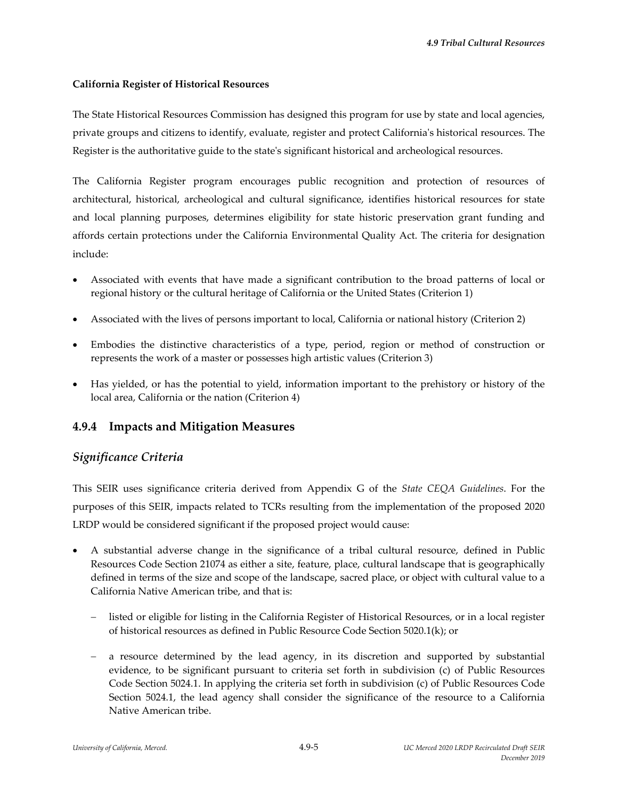#### **California Register of Historical Resources**

The State Historical Resources Commission has designed this program for use by state and local agencies, private groups and citizens to identify, evaluate, register and protect Californiaʹs historical resources. The Register is the authoritative guide to the stateʹs significant historical and archeological resources.

The California Register program encourages public recognition and protection of resources of architectural, historical, archeological and cultural significance, identifies historical resources for state and local planning purposes, determines eligibility for state historic preservation grant funding and affords certain protections under the California Environmental Quality Act. The criteria for designation include:

- Associated with events that have made a significant contribution to the broad patterns of local or regional history or the cultural heritage of California or the United States (Criterion 1)
- Associated with the lives of persons important to local, California or national history (Criterion 2)
- Embodies the distinctive characteristics of a type, period, region or method of construction or represents the work of a master or possesses high artistic values (Criterion 3)
- Has yielded, or has the potential to yield, information important to the prehistory or history of the local area, California or the nation (Criterion 4)

## **4.9.4 Impacts and Mitigation Measures**

## *Significance Criteria*

This SEIR uses significance criteria derived from Appendix G of the *State CEQA Guidelines*. For the purposes of this SEIR, impacts related to TCRs resulting from the implementation of the proposed 2020 LRDP would be considered significant if the proposed project would cause:

- A substantial adverse change in the significance of a tribal cultural resource, defined in Public Resources Code Section 21074 as either a site, feature, place, cultural landscape that is geographically defined in terms of the size and scope of the landscape, sacred place, or object with cultural value to a California Native American tribe, and that is:
	- listed or eligible for listing in the California Register of Historical Resources, or in a local register of historical resources as defined in Public Resource Code Section 5020.1(k); or
	- a resource determined by the lead agency, in its discretion and supported by substantial evidence, to be significant pursuant to criteria set forth in subdivision (c) of Public Resources Code Section 5024.1. In applying the criteria set forth in subdivision (c) of Public Resources Code Section 5024.1, the lead agency shall consider the significance of the resource to a California Native American tribe.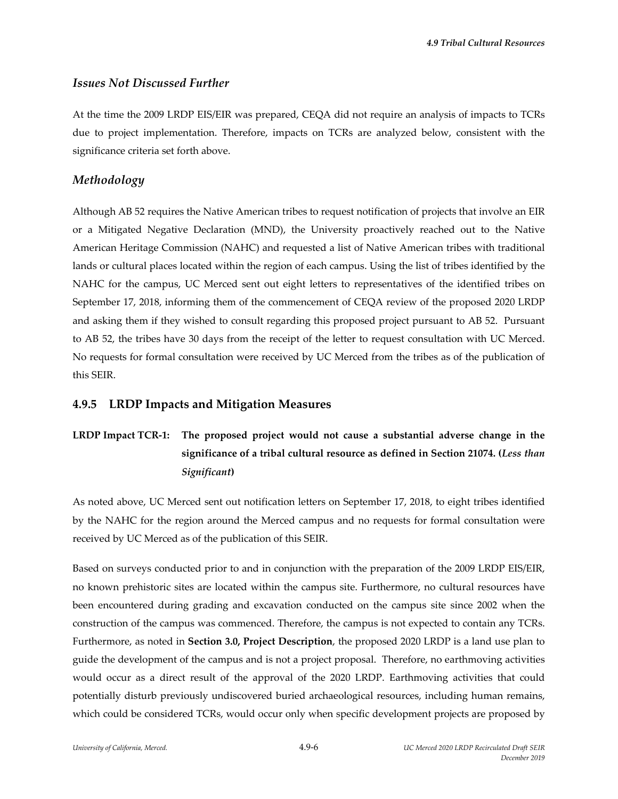### *Issues Not Discussed Further*

At the time the 2009 LRDP EIS/EIR was prepared, CEQA did not require an analysis of impacts to TCRs due to project implementation. Therefore, impacts on TCRs are analyzed below, consistent with the significance criteria set forth above.

### *Methodology*

Although AB 52 requires the Native American tribes to request notification of projects that involve an EIR or a Mitigated Negative Declaration (MND), the University proactively reached out to the Native American Heritage Commission (NAHC) and requested a list of Native American tribes with traditional lands or cultural places located within the region of each campus. Using the list of tribes identified by the NAHC for the campus, UC Merced sent out eight letters to representatives of the identified tribes on September 17, 2018, informing them of the commencement of CEQA review of the proposed 2020 LRDP and asking them if they wished to consult regarding this proposed project pursuant to AB 52. Pursuant to AB 52, the tribes have 30 days from the receipt of the letter to request consultation with UC Merced. No requests for formal consultation were received by UC Merced from the tribes as of the publication of this SEIR.

### **4.9.5 LRDP Impacts and Mitigation Measures**

# **LRDP Impact TCR‐1: The proposed project would not cause a substantial adverse change in the significance of a tribal cultural resource as defined in Section 21074. (***Less than Significant***)**

As noted above, UC Merced sent out notification letters on September 17, 2018, to eight tribes identified by the NAHC for the region around the Merced campus and no requests for formal consultation were received by UC Merced as of the publication of this SEIR.

Based on surveys conducted prior to and in conjunction with the preparation of the 2009 LRDP EIS/EIR, no known prehistoric sites are located within the campus site. Furthermore, no cultural resources have been encountered during grading and excavation conducted on the campus site since 2002 when the construction of the campus was commenced. Therefore, the campus is not expected to contain any TCRs. Furthermore, as noted in **Section 3.0, Project Description**, the proposed 2020 LRDP is a land use plan to guide the development of the campus and is not a project proposal. Therefore, no earthmoving activities would occur as a direct result of the approval of the 2020 LRDP. Earthmoving activities that could potentially disturb previously undiscovered buried archaeological resources, including human remains, which could be considered TCRs, would occur only when specific development projects are proposed by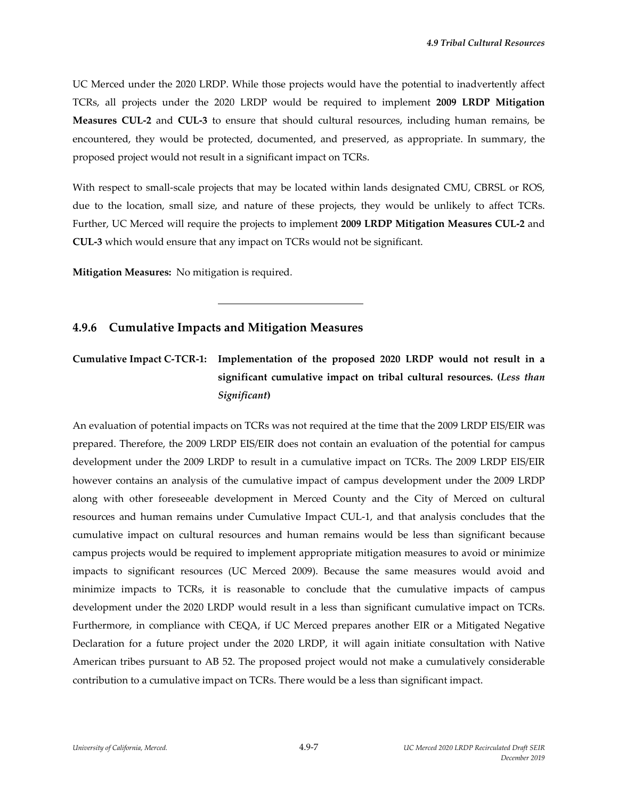UC Merced under the 2020 LRDP. While those projects would have the potential to inadvertently affect TCRs, all projects under the 2020 LRDP would be required to implement **2009 LRDP Mitigation Measures CUL‐2** and **CUL‐3** to ensure that should cultural resources, including human remains, be encountered, they would be protected, documented, and preserved, as appropriate. In summary, the proposed project would not result in a significant impact on TCRs.

With respect to small-scale projects that may be located within lands designated CMU, CBRSL or ROS, due to the location, small size, and nature of these projects, they would be unlikely to affect TCRs. Further, UC Merced will require the projects to implement **2009 LRDP Mitigation Measures CUL‐2** and **CUL‐3** which would ensure that any impact on TCRs would not be significant.

**Mitigation Measures:** No mitigation is required.

### **4.9.6 Cumulative Impacts and Mitigation Measures**

l

# **Cumulative Impact C‐TCR‐1: Implementation of the proposed 2020 LRDP would not result in a significant cumulative impact on tribal cultural resources. (***Less than Significant***)**

An evaluation of potential impacts on TCRs was not required at the time that the 2009 LRDP EIS/EIR was prepared. Therefore, the 2009 LRDP EIS/EIR does not contain an evaluation of the potential for campus development under the 2009 LRDP to result in a cumulative impact on TCRs. The 2009 LRDP EIS/EIR however contains an analysis of the cumulative impact of campus development under the 2009 LRDP along with other foreseeable development in Merced County and the City of Merced on cultural resources and human remains under Cumulative Impact CUL‐1, and that analysis concludes that the cumulative impact on cultural resources and human remains would be less than significant because campus projects would be required to implement appropriate mitigation measures to avoid or minimize impacts to significant resources (UC Merced 2009). Because the same measures would avoid and minimize impacts to TCRs, it is reasonable to conclude that the cumulative impacts of campus development under the 2020 LRDP would result in a less than significant cumulative impact on TCRs. Furthermore, in compliance with CEQA, if UC Merced prepares another EIR or a Mitigated Negative Declaration for a future project under the 2020 LRDP, it will again initiate consultation with Native American tribes pursuant to AB 52. The proposed project would not make a cumulatively considerable contribution to a cumulative impact on TCRs. There would be a less than significant impact.